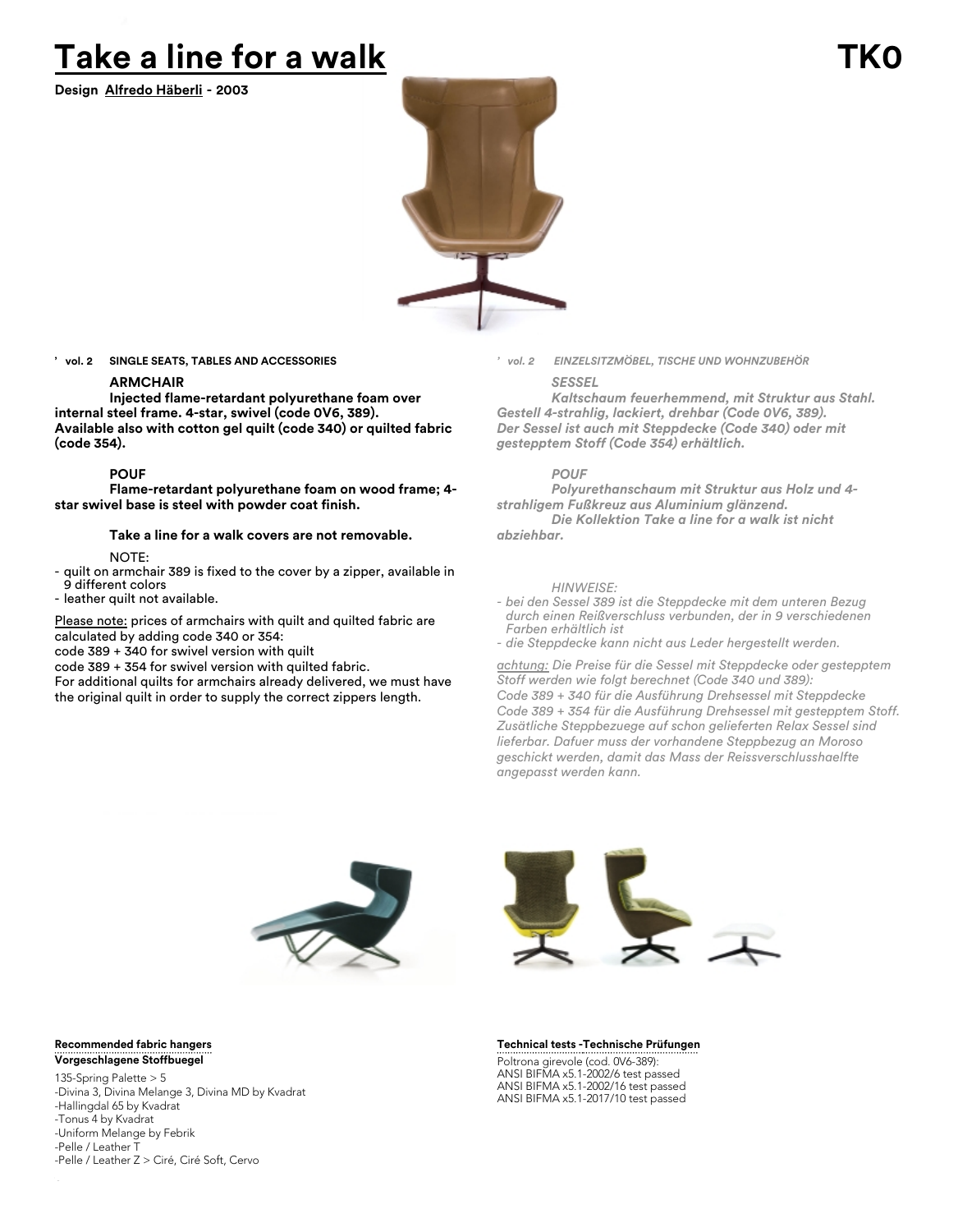# **Take a line for a walk**

**Design Alfredo Häberli - 2003**



**' vol. 2 SINGLE SEATS, TABLES AND ACCESSORIES**

# **ARMCHAIR**

**Injected flame-retardant polyurethane foam over internal steel frame. 4-star, swivel (code 0V6, 389). Available also with cotton gel quilt (code 340) or quilted fabric (code 354).**

# **POUF**

**Flame-retardant polyurethane foam on wood frame; 4 star swivel base is steel with powder coat finish.**

# **Take a line for a walk covers are not removable.**

NOTE:

- quilt on armchair 389 is fixed to the cover by a zipper, available in 9 different colors
- leather quilt not available.

Please note: prices of armchairs with quilt and quilted fabric are calculated by adding code 340 or 354:

code 389 + 340 for swivel version with quilt

code 389 + 354 for swivel version with quilted fabric.

For additional quilts for armchairs already delivered, we must have the original quilt in order to supply the correct zippers length.

*' vol. 2 EINZELSITZMÖBEL, TISCHE UND WOHNZUBEHÖR*

# *SESSEL*

*Kaltschaum feuerhemmend, mit Struktur aus Stahl. Gestell 4-strahlig, lackiert, drehbar (Code 0V6, 389). Der Sessel ist auch mit Steppdecke (Code 340) oder mit gestepptem Stoff (Code 354) erhältlich.*

# *POUF*

*Polyurethanschaum mit Struktur aus Holz und 4 strahligem Fußkreuz aus Aluminium glänzend. Die Kollektion Take a line for a walk ist nicht*

*abziehbar.*

### *HINWEISE:*

*- bei den Sessel 389 ist die Steppdecke mit dem unteren Bezug durch einen Reißverschluss verbunden, der in 9 verschiedenen Farben erhältlich ist*

*- die Steppdecke kann nicht aus Leder hergestellt werden.*

*achtung: Die Preise für die Sessel mit Steppdecke oder gestepptem Stoff werden wie folgt berechnet (Code 340 und 389): Code 389 + 340 für die Ausführung Drehsessel mit Steppdecke Code 389 + 354 für die Ausführung Drehsessel mit gestepptem Stoff. Zusätliche Steppbezuege auf schon gelieferten Relax Sessel sind lieferbar. Dafuer muss der vorhandene Steppbezug an Moroso geschickt werden, damit das Mass der Reissverschlusshaelfte angepasst werden kann.*





135-Spring Palette > 5 -Divina 3, Divina Melange 3, Divina MD by Kvadrat -Hallingdal 65 by Kvadrat -Tonus 4 by Kvadrat -Uniform Melange by Febrik -Pelle / Leather T -Pelle / Leather Z > Ciré, Ciré Soft, Cervo



**Technische Prüfungen**

Poltrona girevole (cod. 0V6-389): ANSI BIFMA x5.1-2002/6 test passed ANSI BIFMA x5.1-2002/16 test passed ANSI BIFMA x5.1-2017/10 test passed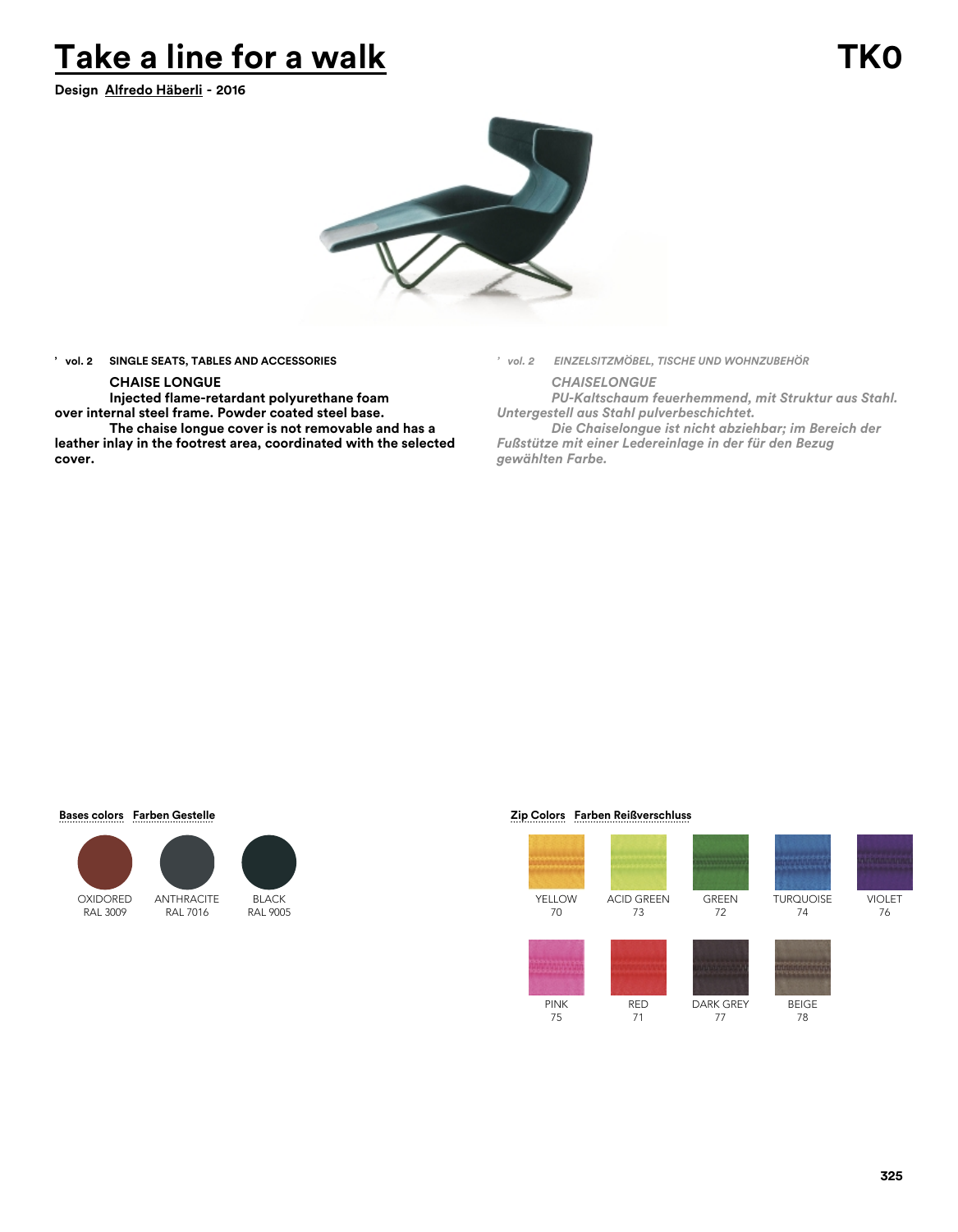# **Take a line for a walk TK0**

**Design Alfredo Häberli - 2016**



**' vol. 2 SINGLE SEATS, TABLES AND ACCESSORIES**

# **CHAISE LONGUE**

**Injected flame-retardant polyurethane foam over internal steel frame. Powder coated steel base.**

**The chaise longue cover is not removable and has a leather inlay in the footrest area, coordinated with the selected cover.**

*' vol. 2 EINZELSITZMÖBEL, TISCHE UND WOHNZUBEHÖR*

*CHAISELONGUE PU-Kaltschaum feuerhemmend, mit Struktur aus Stahl. Untergestell aus Stahl pulverbeschichtet.*

*Die Chaiselongue ist nicht abziehbar; im Bereich der Fußstütze mit einer Ledereinlage in der für den Bezug gewählten Farbe.*

### **Bases colors Farben Gestelle**





# $Zip Colors$  Farben Reißverschluss





74

VIOLET 76

BEIGE 78